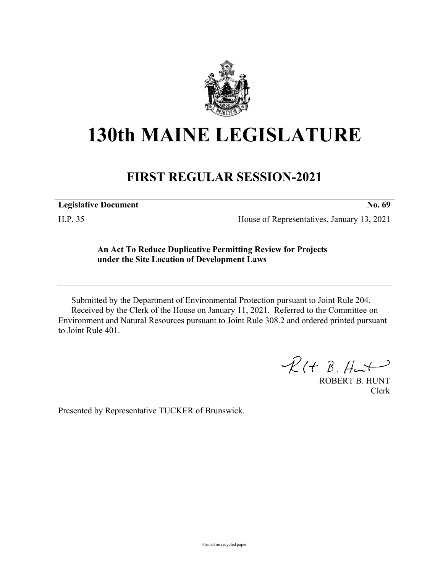

## **130th MAINE LEGISLATURE**

## **FIRST REGULAR SESSION-2021**

**Legislative Document No. 69**

H.P. 35 House of Representatives, January 13, 2021

## **An Act To Reduce Duplicative Permitting Review for Projects under the Site Location of Development Laws**

Submitted by the Department of Environmental Protection pursuant to Joint Rule 204. Received by the Clerk of the House on January 11, 2021. Referred to the Committee on Environment and Natural Resources pursuant to Joint Rule 308.2 and ordered printed pursuant to Joint Rule 401.

 $R(H B. H<sup>u</sup>)$ 

ROBERT B. HUNT Clerk

Presented by Representative TUCKER of Brunswick.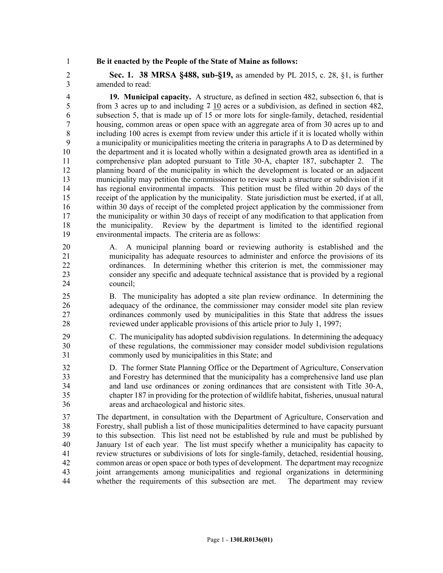1 **Be it enacted by the People of the State of Maine as follows:**

2 **Sec. 1. 38 MRSA §488, sub-§19,** as amended by PL 2015, c. 28, §1, is further 3 amended to read:

4 **19. Municipal capacity.** A structure, as defined in section 482, subsection 6, that is 5 from 3 acres up to and including  $7\frac{10}{3}$  acres or a subdivision, as defined in section 482, 6 subsection 5, that is made up of 15 or more lots for single-family, detached, residential 7 housing, common areas or open space with an aggregate area of from 30 acres up to and 8 including 100 acres is exempt from review under this article if it is located wholly within 9 a municipality or municipalities meeting the criteria in paragraphs A to D as determined by 10 the department and it is located wholly within a designated growth area as identified in a 11 comprehensive plan adopted pursuant to Title 30‑A, chapter 187, subchapter 2. The 12 planning board of the municipality in which the development is located or an adjacent 13 municipality may petition the commissioner to review such a structure or subdivision if it 14 has regional environmental impacts. This petition must be filed within 20 days of the 15 receipt of the application by the municipality. State jurisdiction must be exerted, if at all, 16 within 30 days of receipt of the completed project application by the commissioner from 17 the municipality or within 30 days of receipt of any modification to that application from 18 the municipality. Review by the department is limited to the identified regional 19 environmental impacts. The criteria are as follows:

- 20 A. A municipal planning board or reviewing authority is established and the 21 municipality has adequate resources to administer and enforce the provisions of its 22 ordinances. In determining whether this criterion is met, the commissioner may 23 consider any specific and adequate technical assistance that is provided by a regional 24 council;
- 25 B. The municipality has adopted a site plan review ordinance. In determining the 26 adequacy of the ordinance, the commissioner may consider model site plan review 27 ordinances commonly used by municipalities in this State that address the issues 28 reviewed under applicable provisions of this article prior to July 1, 1997;
- 29 C. The municipality has adopted subdivision regulations. In determining the adequacy 30 of these regulations, the commissioner may consider model subdivision regulations 31 commonly used by municipalities in this State; and
- 32 D. The former State Planning Office or the Department of Agriculture, Conservation 33 and Forestry has determined that the municipality has a comprehensive land use plan 34 and land use ordinances or zoning ordinances that are consistent with Title 30‑A, 35 chapter 187 in providing for the protection of wildlife habitat, fisheries, unusual natural 36 areas and archaeological and historic sites.

37 The department, in consultation with the Department of Agriculture, Conservation and 38 Forestry, shall publish a list of those municipalities determined to have capacity pursuant 39 to this subsection. This list need not be established by rule and must be published by 40 January 1st of each year. The list must specify whether a municipality has capacity to 41 review structures or subdivisions of lots for single-family, detached, residential housing, 42 common areas or open space or both types of development. The department may recognize 43 joint arrangements among municipalities and regional organizations in determining 44 whether the requirements of this subsection are met. The department may review